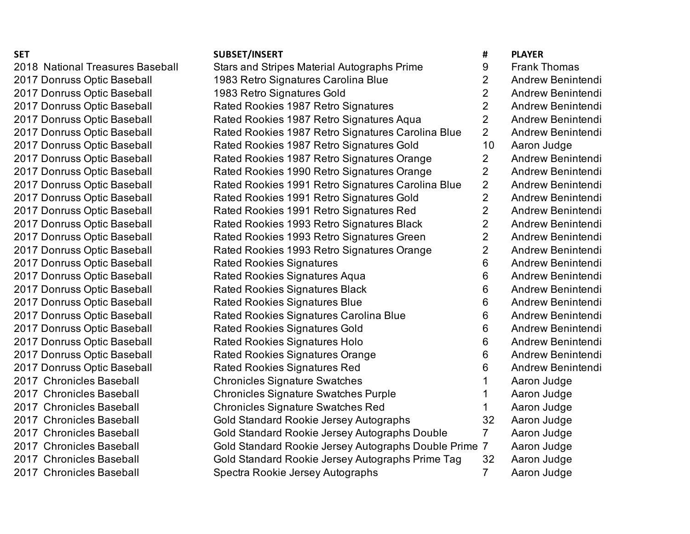## **SET SUBSET/INSERT # PLAYER**

| 2018 National Treasures Baseball | <b>Stars and Stripes Material Autographs Prime</b>    | 9              | <b>Frank Thomas</b> |
|----------------------------------|-------------------------------------------------------|----------------|---------------------|
| 2017 Donruss Optic Baseball      | 1983 Retro Signatures Carolina Blue                   | 2              | Andrew Benintendi   |
| 2017 Donruss Optic Baseball      | 1983 Retro Signatures Gold                            | $\overline{2}$ | Andrew Benintendi   |
| 2017 Donruss Optic Baseball      | Rated Rookies 1987 Retro Signatures                   | $\overline{2}$ | Andrew Benintendi   |
| 2017 Donruss Optic Baseball      | Rated Rookies 1987 Retro Signatures Aqua              | $\overline{2}$ | Andrew Benintendi   |
| 2017 Donruss Optic Baseball      | Rated Rookies 1987 Retro Signatures Carolina Blue     | $\overline{2}$ | Andrew Benintendi   |
| 2017 Donruss Optic Baseball      | Rated Rookies 1987 Retro Signatures Gold              | 10             | Aaron Judge         |
| 2017 Donruss Optic Baseball      | Rated Rookies 1987 Retro Signatures Orange            | $\overline{2}$ | Andrew Benintendi   |
| 2017 Donruss Optic Baseball      | Rated Rookies 1990 Retro Signatures Orange            | $\overline{2}$ | Andrew Benintendi   |
| 2017 Donruss Optic Baseball      | Rated Rookies 1991 Retro Signatures Carolina Blue     | $\overline{2}$ | Andrew Benintendi   |
| 2017 Donruss Optic Baseball      | Rated Rookies 1991 Retro Signatures Gold              | $\overline{2}$ | Andrew Benintendi   |
| 2017 Donruss Optic Baseball      | Rated Rookies 1991 Retro Signatures Red               | $\overline{2}$ | Andrew Benintendi   |
| 2017 Donruss Optic Baseball      | Rated Rookies 1993 Retro Signatures Black             | $\overline{2}$ | Andrew Benintendi   |
| 2017 Donruss Optic Baseball      | Rated Rookies 1993 Retro Signatures Green             | $\overline{2}$ | Andrew Benintendi   |
| 2017 Donruss Optic Baseball      | Rated Rookies 1993 Retro Signatures Orange            | $\overline{2}$ | Andrew Benintendi   |
| 2017 Donruss Optic Baseball      | <b>Rated Rookies Signatures</b>                       | 6              | Andrew Benintendi   |
| 2017 Donruss Optic Baseball      | <b>Rated Rookies Signatures Aqua</b>                  | 6              | Andrew Benintendi   |
| 2017 Donruss Optic Baseball      | <b>Rated Rookies Signatures Black</b>                 | 6              | Andrew Benintendi   |
| 2017 Donruss Optic Baseball      | <b>Rated Rookies Signatures Blue</b>                  | 6              | Andrew Benintendi   |
| 2017 Donruss Optic Baseball      | Rated Rookies Signatures Carolina Blue                | 6              | Andrew Benintendi   |
| 2017 Donruss Optic Baseball      | <b>Rated Rookies Signatures Gold</b>                  | 6              | Andrew Benintendi   |
| 2017 Donruss Optic Baseball      | <b>Rated Rookies Signatures Holo</b>                  | 6              | Andrew Benintendi   |
| 2017 Donruss Optic Baseball      | <b>Rated Rookies Signatures Orange</b>                | 6              | Andrew Benintendi   |
| 2017 Donruss Optic Baseball      | <b>Rated Rookies Signatures Red</b>                   | 6              | Andrew Benintendi   |
| 2017 Chronicles Baseball         | <b>Chronicles Signature Swatches</b>                  |                | Aaron Judge         |
| 2017 Chronicles Baseball         | <b>Chronicles Signature Swatches Purple</b>           |                | Aaron Judge         |
| 2017 Chronicles Baseball         | <b>Chronicles Signature Swatches Red</b>              |                | Aaron Judge         |
| 2017 Chronicles Baseball         | Gold Standard Rookie Jersey Autographs                | 32             | Aaron Judge         |
| 2017 Chronicles Baseball         | Gold Standard Rookie Jersey Autographs Double         | $\overline{7}$ | Aaron Judge         |
| 2017 Chronicles Baseball         | Gold Standard Rookie Jersey Autographs Double Prime 7 |                | Aaron Judge         |
| 2017 Chronicles Baseball         | Gold Standard Rookie Jersey Autographs Prime Tag      | 32             | Aaron Judge         |
| 2017 Chronicles Baseball         | Spectra Rookie Jersey Autographs                      | 7              | Aaron Judge         |
|                                  |                                                       |                |                     |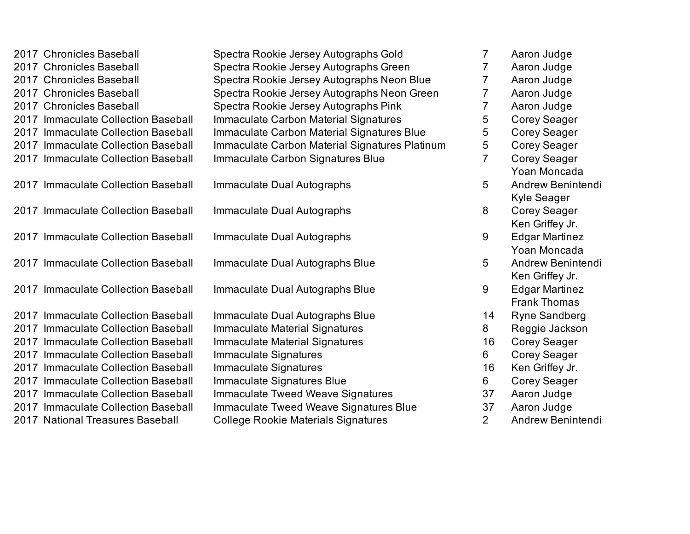|      | 2017 Chronicles Baseball            | Spectra Rookie Jersey Autographs Gold          | $\overline{7}$ | Aaron Judge           |
|------|-------------------------------------|------------------------------------------------|----------------|-----------------------|
|      | 2017 Chronicles Baseball            | Spectra Rookie Jersey Autographs Green         | $\overline{7}$ | Aaron Judge           |
|      | 2017 Chronicles Baseball            | Spectra Rookie Jersey Autographs Neon Blue     | $\overline{7}$ | Aaron Judge           |
|      | 2017 Chronicles Baseball            | Spectra Rookie Jersey Autographs Neon Green    | 7              | Aaron Judge           |
|      | 2017 Chronicles Baseball            | Spectra Rookie Jersey Autographs Pink          | 7              | Aaron Judge           |
|      | 2017 Immaculate Collection Baseball | Immaculate Carbon Material Signatures          | 5              | Corey Seager          |
|      | 2017 Immaculate Collection Baseball | Immaculate Carbon Material Signatures Blue     | 5              | <b>Corey Seager</b>   |
|      | 2017 Immaculate Collection Baseball | Immaculate Carbon Material Signatures Platinum | 5              | Corey Seager          |
|      | 2017 Immaculate Collection Baseball | Immaculate Carbon Signatures Blue              | $\overline{7}$ | Corey Seager          |
|      |                                     |                                                |                | Yoan Moncada          |
|      | 2017 Immaculate Collection Baseball | Immaculate Dual Autographs                     | 5              | Andrew Benintendi     |
|      |                                     |                                                |                | Kyle Seager           |
|      | 2017 Immaculate Collection Baseball | Immaculate Dual Autographs                     | 8              | <b>Corey Seager</b>   |
|      |                                     |                                                |                | Ken Griffey Jr.       |
|      | 2017 Immaculate Collection Baseball | Immaculate Dual Autographs                     | 9              | <b>Edgar Martinez</b> |
|      |                                     |                                                |                | Yoan Moncada          |
|      | 2017 Immaculate Collection Baseball | Immaculate Dual Autographs Blue                | 5              | Andrew Benintendi     |
|      |                                     |                                                |                | Ken Griffey Jr.       |
|      | 2017 Immaculate Collection Baseball | Immaculate Dual Autographs Blue                | 9              | <b>Edgar Martinez</b> |
|      |                                     |                                                |                | <b>Frank Thomas</b>   |
|      | 2017 Immaculate Collection Baseball | Immaculate Dual Autographs Blue                | 14             | Ryne Sandberg         |
|      | 2017 Immaculate Collection Baseball | Immaculate Material Signatures                 | 8              | Reggie Jackson        |
| 2017 | Immaculate Collection Baseball      | Immaculate Material Signatures                 | 16             | <b>Corey Seager</b>   |
|      | 2017 Immaculate Collection Baseball | Immaculate Signatures                          | 6              | Corey Seager          |
|      | 2017 Immaculate Collection Baseball | Immaculate Signatures                          | 16             | Ken Griffey Jr.       |
|      | 2017 Immaculate Collection Baseball | Immaculate Signatures Blue                     | 6              | <b>Corey Seager</b>   |
| 2017 | Immaculate Collection Baseball      | Immaculate Tweed Weave Signatures              | 37             | Aaron Judge           |
|      | 2017 Immaculate Collection Baseball | Immaculate Tweed Weave Signatures Blue         | 37             | Aaron Judge           |
|      | 2017 National Treasures Baseball    | <b>College Rookie Materials Signatures</b>     | $\overline{2}$ | Andrew Benintendi     |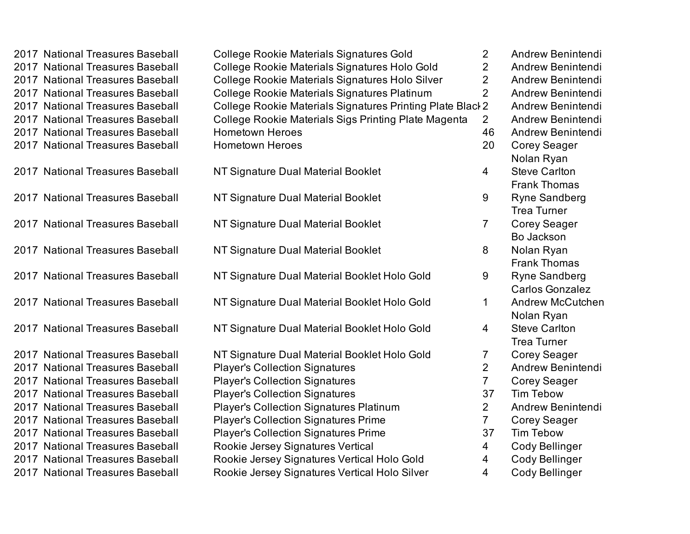| 2017 National Treasures Baseball | <b>College Rookie Materials Signatures Gold</b>            | $\overline{2}$ | Andrew Benintendi       |
|----------------------------------|------------------------------------------------------------|----------------|-------------------------|
| 2017 National Treasures Baseball | College Rookie Materials Signatures Holo Gold              | $\overline{2}$ | Andrew Benintendi       |
| 2017 National Treasures Baseball | College Rookie Materials Signatures Holo Silver            | $\overline{2}$ | Andrew Benintendi       |
| 2017 National Treasures Baseball | College Rookie Materials Signatures Platinum               | $\overline{2}$ | Andrew Benintendi       |
| 2017 National Treasures Baseball | College Rookie Materials Signatures Printing Plate Black 2 |                | Andrew Benintendi       |
| 2017 National Treasures Baseball | College Rookie Materials Sigs Printing Plate Magenta       | $2^{\circ}$    | Andrew Benintendi       |
| 2017 National Treasures Baseball | <b>Hometown Heroes</b>                                     | 46             | Andrew Benintendi       |
| 2017 National Treasures Baseball | <b>Hometown Heroes</b>                                     | 20             | <b>Corey Seager</b>     |
|                                  |                                                            |                | Nolan Ryan              |
| 2017 National Treasures Baseball | NT Signature Dual Material Booklet                         | $\overline{4}$ | <b>Steve Carlton</b>    |
|                                  |                                                            |                | <b>Frank Thomas</b>     |
| 2017 National Treasures Baseball | NT Signature Dual Material Booklet                         | 9              | <b>Ryne Sandberg</b>    |
|                                  |                                                            |                | <b>Trea Turner</b>      |
| 2017 National Treasures Baseball | NT Signature Dual Material Booklet                         | $\overline{7}$ | <b>Corey Seager</b>     |
|                                  |                                                            |                | Bo Jackson              |
| 2017 National Treasures Baseball | NT Signature Dual Material Booklet                         | 8              | Nolan Ryan              |
|                                  |                                                            |                | <b>Frank Thomas</b>     |
| 2017 National Treasures Baseball | NT Signature Dual Material Booklet Holo Gold               | 9              | <b>Ryne Sandberg</b>    |
|                                  |                                                            |                | <b>Carlos Gonzalez</b>  |
| 2017 National Treasures Baseball | NT Signature Dual Material Booklet Holo Gold               | $\mathbf 1$    | <b>Andrew McCutchen</b> |
|                                  |                                                            |                | Nolan Ryan              |
| 2017 National Treasures Baseball | NT Signature Dual Material Booklet Holo Gold               | $\overline{4}$ | <b>Steve Carlton</b>    |
|                                  |                                                            |                | <b>Trea Turner</b>      |
| 2017 National Treasures Baseball | NT Signature Dual Material Booklet Holo Gold               | $\overline{7}$ | <b>Corey Seager</b>     |
| 2017 National Treasures Baseball | <b>Player's Collection Signatures</b>                      | $\overline{2}$ | Andrew Benintendi       |
| 2017 National Treasures Baseball | <b>Player's Collection Signatures</b>                      | $\overline{7}$ | <b>Corey Seager</b>     |
| 2017 National Treasures Baseball | <b>Player's Collection Signatures</b>                      | 37             | <b>Tim Tebow</b>        |
| 2017 National Treasures Baseball | <b>Player's Collection Signatures Platinum</b>             | $\overline{2}$ | Andrew Benintendi       |
| 2017 National Treasures Baseball | <b>Player's Collection Signatures Prime</b>                | $\overline{7}$ | <b>Corey Seager</b>     |
| 2017 National Treasures Baseball | <b>Player's Collection Signatures Prime</b>                | 37             | <b>Tim Tebow</b>        |
| 2017 National Treasures Baseball | Rookie Jersey Signatures Vertical                          | $\overline{4}$ | <b>Cody Bellinger</b>   |
| 2017 National Treasures Baseball | Rookie Jersey Signatures Vertical Holo Gold                | $\overline{4}$ | <b>Cody Bellinger</b>   |
| 2017 National Treasures Baseball | Rookie Jersey Signatures Vertical Holo Silver              | $\overline{4}$ | Cody Bellinger          |
|                                  |                                                            |                |                         |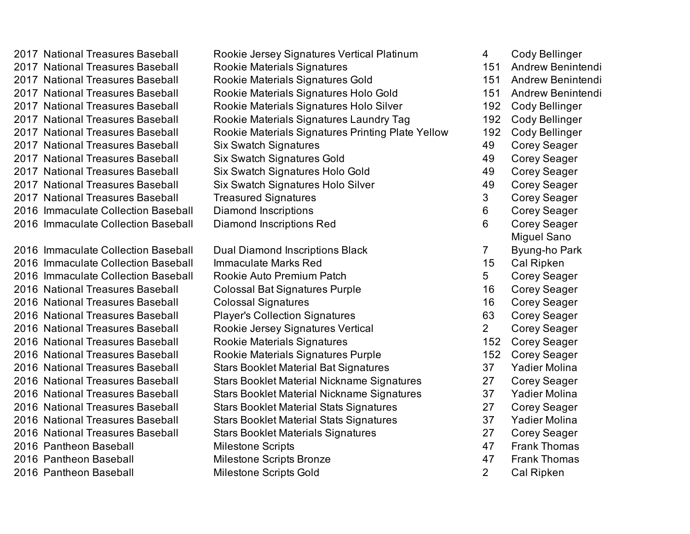2017 National Treasures Baseball Rookie Jersey Signatures Vertical Platinum 4 Cody Bellinger 2017 National Treasures Baseball Rookie Materials Signatures 151 Andrew Benintendi 2017 National Treasures Baseball Rookie Materials Signatures Gold 151 Andrew Benintendi 2017 National Treasures Baseball Rookie Materials Signatures Holo Gold 151 Andrew Benintendi 2017 National Treasures Baseball Rookie Materials Signatures Holo Silver 192 Cody Bellinger 2017 National Treasures Baseball Rookie Materials Signatures Laundry Tag 192 Cody Bellinger 2017 National Treasures Baseball Rookie Materials Signatures Printing Plate Yellow 192 Cody Bellinger 2017 National Treasures Baseball Six Swatch Signatures 49 Corey Seager 2017 National Treasures Baseball Six Swatch Signatures Gold 49 Corey Seager 2017 National Treasures Baseball Six Swatch Signatures Holo Gold 49 Corey Seager 2017 National Treasures Baseball Six Swatch Signatures Holo Silver 49 Corey Seager 2017 National Treasures Baseball Treasured Signatures and the metal of the Seager 2016 Immaculate Collection Baseball Diamond Inscriptions 6 Corey Seager 2016 Immaculate Collection Baseball Diamond Inscriptions Red 6 Corey Seager 2016 Immaculate Collection Baseball Immaculate Marks Red 15 Cal Ripken 2016 Immaculate Collection Baseball Bookie Auto Premium Patch **1988** 5 Corey Seager 2016 National Treasures Baseball Colossal Bat Signatures Purple 16 Corey Seager 2016 National Treasures Baseball Colossal Signatures 16 Corey Seager 2016 National Treasures Baseball Player's Collection Signatures 63 Corey Seager 2016 National Treasures Baseball Bookie Jersey Signatures Vertical 2 Corey Seager 2016 National Treasures Baseball Rookie Materials Signatures 152 Corey Seager 2016 National Treasures Baseball Rookie Materials Signatures Purple 152 Corey Seager 2016 National Treasures Baseball Stars Booklet Material Bat Signatures 37 Yadier Molina 2016 National Treasures Baseball Stars Booklet Material Nickname Signatures 27 Corey Seager 2016 National Treasures Baseball Stars Booklet Material Nickname Signatures 37 Yadier Molina 2016 National Treasures Baseball Stars Booklet Material Stats Signatures 27 Corey Seager 2016 National Treasures Baseball Stars Booklet Material Stats Signatures 37 Yadier Molina 2016 National Treasures Baseball Stars Booklet Materials Signatures 27 Corey Seager 2016 Pantheon Baseball **Access 47** Milestone Scripts **1988** And Allestone Scripts 47 Frank Thomas 2016 Pantheon Baseball **Milestone Scripts Bronze 1988** And Alleman And Alleman And Alleman And Alleman And Alleman A 2016 Pantheon Baseball Milestone Scripts Gold 2 Cal Ripken 2016 Immaculate Collection Baseball Dual Diamond Inscriptions Black 7

Miguel Sano Byung-ho Park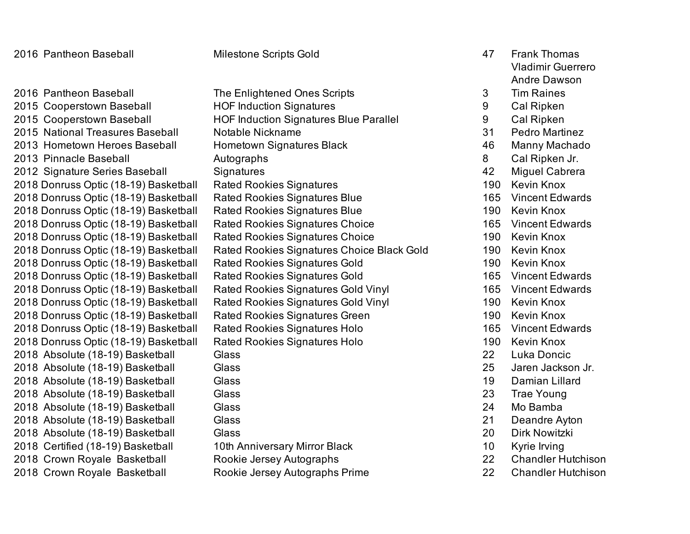2015 Cooperstown Baseball **HOF Induction Signatures 12015** Cooperstown Baseball **HOF Induction Signatures 1201** 2015 Cooperstown Baseball **HOF Induction Signatures Blue Parallel** 9 Cal Ripken 2015 National Treasures Baseball Notable Nickname 31 Pedro Martinez 2013 Hometown Heroes Baseball Bometown Signatures Black and the manny Machado 2013 Pinnacle Baseball **Autographs** Autographs **8** Cal Ripken Jr. 2012 Signature Series Baseball Signatures 42 Miguel Cabrera 2018 Donruss Optic (18-19) Basketball Rated Rookies Signatures 190 Kevin Knox 2018 Donruss Optic (18-19) Basketball Rated Rookies Signatures Blue 165 Vincent Edwards 2018 Donruss Optic (18-19) Basketball Rated Rookies Signatures Blue 190 190 Kevin Knox 2018 Donruss Optic (18-19) Basketball Rated Rookies Signatures Choice 165 Vincent Edwards 2018 Donruss Optic (18-19) Basketball Rated Rookies Signatures Choice 190 Kevin Knox 2018 Donruss Optic (18-19) Basketball Rated Rookies Signatures Choice Black Gold 190 Kevin Knox 2018 Donruss Optic (18-19) Basketball Rated Rookies Signatures Gold 190 Kevin Knox 2018 Donruss Optic (18-19) Basketball Rated Rookies Signatures Gold 165 Vincent Edwards 2018 Donruss Optic (18-19) Basketball Rated Rookies Signatures Gold Vinyl 165 Vincent Edwards 2018 Donruss Optic (18-19) Basketball Rated Rookies Signatures Gold Vinyl 190 Kevin Knox 2018 Donruss Optic (18-19) Basketball Rated Rookies Signatures Green 190 Kevin Knox 2018 Donruss Optic (18-19) Basketball Rated Rookies Signatures Holo 165 Vincent Edwards 2018 Donruss Optic (18-19) Basketball Rated Rookies Signatures Holo 190 Kevin Knox 2018 Absolute (18-19) Basketball Glass 22 Luka Doncic 2018 Absolute (18-19) Basketball Glass 25 Jaren Jackson Jr. 2018 Absolute (18-19) Basketball Glass 19 Damian Lillard 2018 Absolute (18-19) Basketball Glass 23 Trae Young 2018 Absolute (18-19) Basketball Glass 24 Mo Bamba 2018 Absolute (18-19) Basketball Glass 21 Deandre Ayton 2018 Absolute (18-19) Basketball Glass 20 Dirk Nowitzki 2018 Certified (18-19) Basketball 10th Anniversary Mirror Black 10 Kyrie Irving 2018 Crown Royale Basketball Rookie Jersey Autographs 22 Chandler Hutchison 2018 Crown Royale Basketball **Rookie Jersey Autographs Prime** 22 Chandler Hutchison 2016 Pantheon Baseball The Enlightened Ones Scripts 3

Milestone Scripts Gold 47 Frank Thomas Vladimir Guerrero Andre Dawson Tim Raines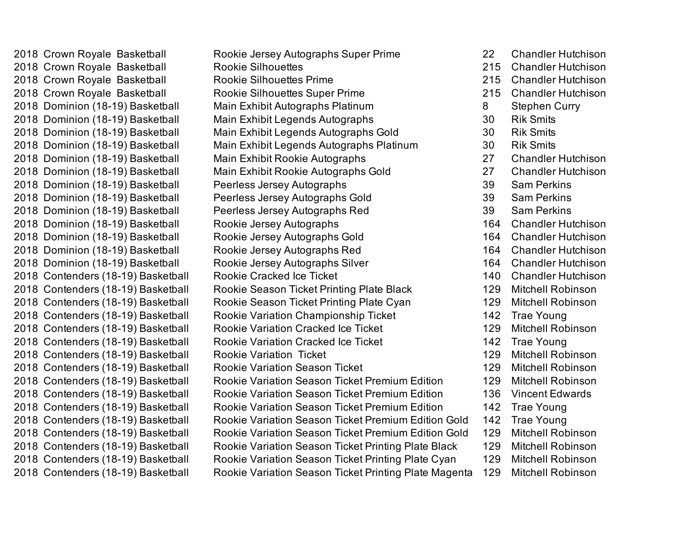2018 Crown Royale Basketball Rookie Jersey Autographs Super Prime 22 Chandler Hutchison 2018 Crown Royale Basketball Rookie Silhouettes 215 Chandler Hutchison 2018 Crown Royale Basketball Rookie Silhouettes Prime 215 Chandler Hutchison 2018 Crown Royale Basketball **Rookie Silhouettes Super Prime** 215 Chandler Hutchison 2018 Dominion (18-19) Basketball Main Exhibit Autographs Platinum **8 Stephen Curry** 2018 Dominion (18-19) Basketball Main Exhibit Legends Autographs 30 Rik Smits 2018 Dominion (18-19) Basketball Main Exhibit Legends Autographs Gold 30 Rik Smits 2018 Dominion (18-19) Basketball Main Exhibit Legends Autographs Platinum 30 Rik Smits 2018 Dominion (18-19) Basketball Main Exhibit Rookie Autographs 27 Chandler Hutchison 2018 Dominion (18-19) Basketball Main Exhibit Rookie Autographs Gold 27 Chandler Hutchison 2018 Dominion (18-19) Basketball Peerless Jersey Autographs 39 Sam Perkins 2018 Dominion (18-19) Basketball Peerless Jersey Autographs Gold 39 Sam Perkins 2018 Dominion (18-19) Basketball Peerless Jersey Autographs Red 39 Sam Perkins 2018 Dominion (18-19) Basketball Rookie Jersey Autographs 164 Chandler Hutchison 2018 Dominion (18-19) Basketball Rookie Jersey Autographs Gold 164 Chandler Hutchison 2018 Dominion (18-19) Basketball Rookie Jersey Autographs Red 164 Chandler Hutchison 2018 Dominion (18-19) Basketball Rookie Jersey Autographs Silver 164 Chandler Hutchison 2018 Contenders (18-19) Basketball Rookie Cracked Ice Ticket 140 Chandler Hutchison 2018 Contenders (18-19) Basketball Rookie Season Ticket Printing Plate Black 129 Mitchell Robinson 2018 Contenders (18-19) Basketball Rookie Season Ticket Printing Plate Cyan 129 Mitchell Robinson 2018 Contenders (18-19) Basketball Rookie Variation Championship Ticket 142 Trae Young 2018 Contenders (18-19) Basketball Rookie Variation Cracked Ice Ticket 129 Mitchell Robinson 2018 Contenders (18-19) Basketball Rookie Variation Cracked Ice Ticket 142 Trae Young 2018 Contenders (18-19) Basketball Rookie Variation Ticket 129 Mitchell Robinson 2018 Contenders (18-19) Basketball Rookie Variation Season Ticket 129 Mitchell Robinson 2018 Contenders (18-19) Basketball Rookie Variation Season Ticket Premium Edition 129 Mitchell Robinson 2018 Contenders (18-19) Basketball Rookie Variation Season Ticket Premium Edition 136 Vincent Edwards 2018 Contenders (18-19) Basketball Rookie Variation Season Ticket Premium Edition 142 Trae Young 2018 Contenders (18-19) Basketball Rookie Variation Season Ticket Premium Edition Gold 142 Trae Young 2018 Contenders (18-19) Basketball Rookie Variation Season Ticket Premium Edition Gold 129 Mitchell Robinson 2018 Contenders (18-19) Basketball Rookie Variation Season Ticket Printing Plate Black 129 Mitchell Robinson 2018 Contenders (18-19) Basketball Rookie Variation Season Ticket Printing Plate Cyan 129 Mitchell Robinson 2018 Contenders (18-19) Basketball Rookie Variation Season Ticket Printing Plate Magenta 129 Mitchell Robinson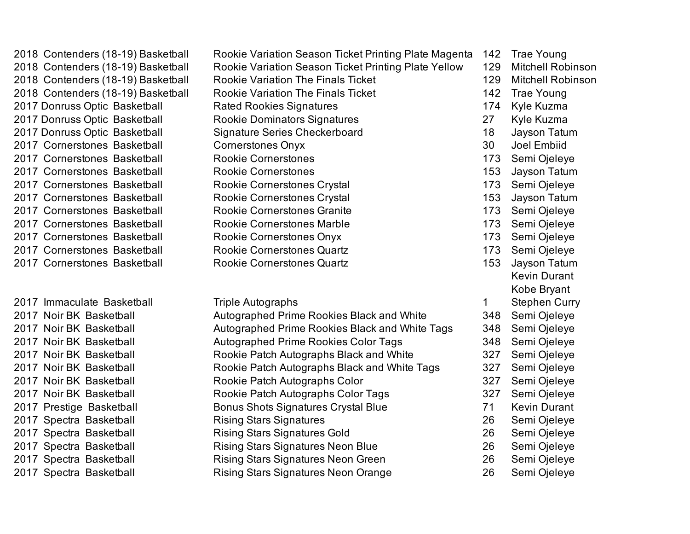2018 Contenders (18-19) Basketball Rookie Variation Season Ticket Printing Plate Magenta 142 Trae Young 2018 Contenders (18-19) Basketball Rookie Variation Season Ticket Printing Plate Yellow 129 Mitchell Robinson 2018 Contenders (18-19) Basketball Rookie Variation The Finals Ticket 129 Mitchell Robinson 2018 Contenders (18-19) Basketball Rookie Variation The Finals Ticket 142 Trae Young 2017 Donruss Optic Basketball **Rated Rookies Signatures** 174 Kyle Kuzma 2017 Donruss Optic Basketball Rookie Dominators Signatures 27 Kyle Kuzma 2017 Donruss Optic Basketball Signature Series Checkerboard 18 Jayson Tatum 2017 Cornerstones Basketball Cornerstones Onyx 30 Joel Embiid 2017 Cornerstones Basketball Rookie Cornerstones 173 Semi Ojeleye 2017 Cornerstones Basketball Rookie Cornerstones 153 Jayson Tatum 2017 Cornerstones Basketball **Rookie Cornerstones Crystal** 173 Semi Ojeleye 2017 Cornerstones Basketball **Rookie Cornerstones Crystal 153** Jayson Tatum 2017 Cornerstones Basketball **Rookie Cornerstones Granite** 173 Semi Ojeleye 2017 Cornerstones Basketball **Rookie Cornerstones Marble** 173 Semi Ojeleye 2017 Cornerstones Basketball Rookie Cornerstones Onyx 173 Semi Ojeleye 2017 Cornerstones Basketball Rookie Cornerstones Quartz 173 Semi Ojeleye 2017 Cornerstones Basketball Rookie Cornerstones Quartz 153 Jayson Tatum 2017 Noir BK Basketball **Autographed Prime Rookies Black and White** 348 Semi Ojeleye 2017 Noir BK Basketball **Autographed Prime Rookies Black and White Tags** 348 Semi Ojeleye 2017 Noir BK Basketball Autographed Prime Rookies Color Tags 348 Semi Ojeleye 2017 Noir BK Basketball **Rookie Patch Autographs Black and White** 327 Semi Ojeleye 2017 Noir BK Basketball **Rookie Patch Autographs Black and White Tags** 327 Semi Ojeleye 2017 Noir BK Basketball Rookie Patch Autographs Color 327 Semi Ojeleye 2017 Noir BK Basketball **Rookie Patch Autographs Color Tags** 327 Semi Ojeleye 2017 Prestige Basketball Bonus Shots Signatures Crystal Blue 71 Kevin Durant 2017 Spectra Basketball Rising Stars Signatures 26 Semi Ojeleye 2017 Spectra Basketball Rising Stars Signatures Gold 26 Semi Ojeleye 2017 Spectra Basketball **Rising Stars Signatures Neon Blue** 26 Semi Ojeleye 2017 Spectra Basketball **Rising Stars Signatures Neon Green** 26 Semi Ojeleye 2017 Spectra Basketball **Rising Stars Signatures Neon Orange** 26 Semi Ojeleye 2017 Immaculate Basketball Triple Autographs 1

Kevin Durant Kobe Bryant Stephen Curry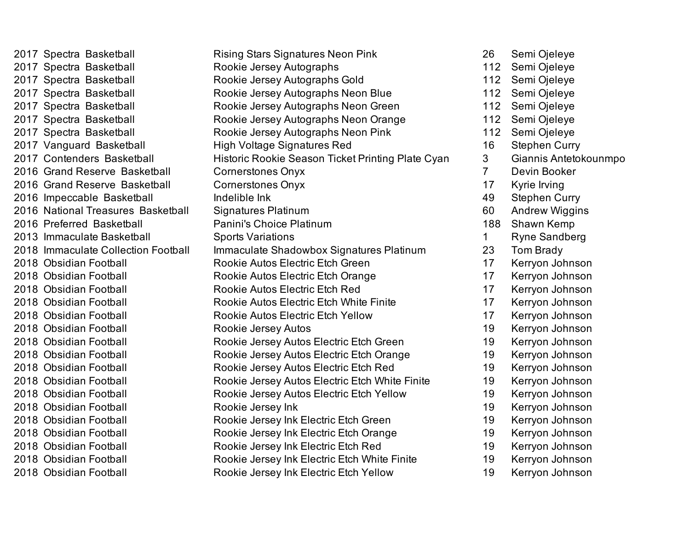2017 Spectra Basketball Rising Stars Signatures Neon Pink 26 Semi Ojeleye 2017 Spectra Basketball Rookie Jersey Autographs 112 Semi Ojeleye 2017 Spectra Basketball Rookie Jersey Autographs Gold 112 Semi Ojeleye 2017 Spectra Basketball Rookie Jersey Autographs Neon Blue 112 Semi Ojeleye 2017 Spectra Basketball **Rookie Jersey Autographs Neon Green** 112 Semi Ojeleye 2017 Spectra Basketball Rookie Jersey Autographs Neon Orange 112 Semi Ojeleye 2017 Spectra Basketball **Rookie Jersey Autographs Neon Pink** 112 Semi Ojeleye 2017 Vanguard Basketball **High Voltage Signatures Red** 16 Stephen Curry 2017 Contenders Basketball Historic Rookie Season Ticket Printing Plate Cyan 3 Giannis Antetokounmpo 2016 Grand Reserve Basketball Cornerstones Onyx 7 Devin Booker 2016 Grand Reserve Basketball Cornerstones Onyx 17 Kyrie Irving 2016 Impeccable Basketball **Indelible Ink** 1000 and 100 and 1000 and 19 Stephen Curry 2016 National Treasures Basketball Signatures Platinum and the control of the Andrew Wiggins 2016 Preferred Basketball Panini's Choice Platinum 188 Shawn Kemp 2013 Immaculate Basketball Sports Variations **1** Ryne Sandberg 2018 Immaculate Collection Football Immaculate Shadowbox Signatures Platinum 23 Tom Brady 2018 Obsidian Football **Rookie Autos Electric Etch Green** 17 Kerryon Johnson 2018 Obsidian Football Rookie Autos Electric Etch Orange 17 Kerryon Johnson 2018 Obsidian Football Rookie Autos Electric Etch Red 17 Kerryon Johnson 2018 Obsidian Football Rookie Autos Electric Etch White Finite 17 Kerryon Johnson 2018 Obsidian Football Rookie Autos Electric Etch Yellow 17 Kerryon Johnson 2018 Obsidian Football Rookie Jersey Autos 19 Kerryon Johnson 2018 Obsidian Football Rookie Jersey Autos Electric Etch Green 19 Kerryon Johnson 2018 Obsidian Football Rookie Jersey Autos Electric Etch Orange 19 Kerryon Johnson 2018 Obsidian Football Rookie Jersey Autos Electric Etch Red 19 Kerryon Johnson 2018 Obsidian Football Rookie Jersey Autos Electric Etch White Finite 19 Kerryon Johnson 2018 Obsidian Football Rookie Jersey Autos Electric Etch Yellow 19 Kerryon Johnson 2018 Obsidian Football Rookie Jersey Ink 19 Kerryon Johnson 2018 Obsidian Football Rookie Jersey Ink Electric Etch Green 19 Kerryon Johnson 2018 Obsidian Football **Rookie Jersey Ink Electric Etch Orange** 19 Kerryon Johnson 2018 Obsidian Football Rookie Jersey Ink Electric Etch Red 19 Kerryon Johnson 2018 Obsidian Football Rookie Jersey Ink Electric Etch White Finite 19 Kerryon Johnson 2018 Obsidian Football Rookie Jersey Ink Electric Etch Yellow 19 Kerryon Johnson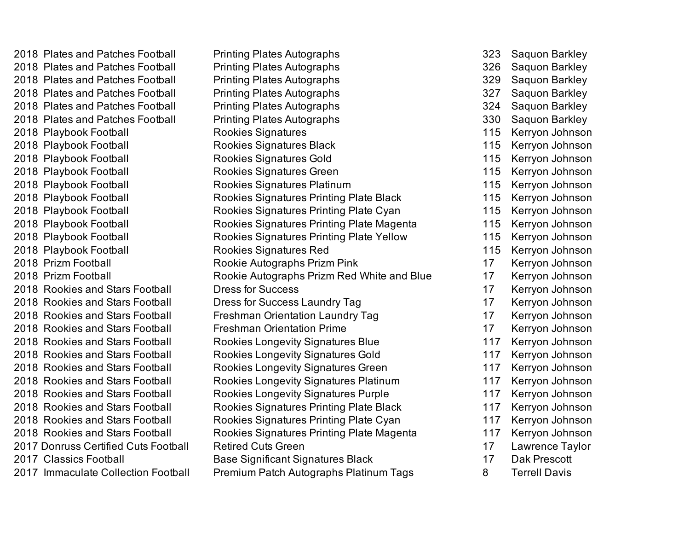2018 Plates and Patches Football Printing Plates Autographs 323 Saquon Barkley 2018 Plates and Patches Football Printing Plates Autographs 326 Saquon Barkley 2018 Plates and Patches Football Printing Plates Autographs 329 Saquon Barkley 2018 Plates and Patches Football Printing Plates Autographs 327 Saquon Barkley 2018 Plates and Patches Football Printing Plates Autographs 324 Saquon Barkley 2018 Plates and Patches Football Printing Plates Autographs 330 Saquon Barkley 2018 Playbook Football Rookies Signatures 115 Kerryon Johnson 2018 Playbook Football Rookies Signatures Black 115 Kerryon Johnson 2018 Playbook Football Rookies Signatures Gold 115 Kerryon Johnson 2018 Playbook Football Rookies Signatures Green 115 Kerryon Johnson 2018 Playbook Football Rookies Signatures Platinum 115 Kerryon Johnson 2018 Playbook Football Rookies Signatures Printing Plate Black 115 Kerryon Johnson 2018 Playbook Football Rookies Signatures Printing Plate Cyan 115 Kerryon Johnson 2018 Playbook Football Rookies Signatures Printing Plate Magenta 115 Kerryon Johnson 2018 Playbook Football Rookies Signatures Printing Plate Yellow 115 Kerryon Johnson 2018 Playbook Football Rookies Signatures Red 115 Kerryon Johnson 2018 Prizm Football Rookie Autographs Prizm Pink 17 Kerryon Johnson 2018 Prizm Football Rookie Autographs Prizm Red White and Blue 17 Kerryon Johnson 2018 Rookies and Stars Football Dress for Success 17 Kerryon Johnson 2018 Rookies and Stars Football **Dress for Success Laundry Tag 17** Kerryon Johnson 2018 Rookies and Stars Football Freshman Orientation Laundry Tag 17 Kerryon Johnson 2018 Rookies and Stars Football Freshman Orientation Prime 17 Kerryon Johnson 2018 Rookies and Stars Football Rookies Longevity Signatures Blue 117 Kerryon Johnson 2018 Rookies and Stars Football Rookies Longevity Signatures Gold 117 Kerryon Johnson 2018 Rookies and Stars Football Rookies Longevity Signatures Green 117 Kerryon Johnson 2018 Rookies and Stars Football Rookies Longevity Signatures Platinum 117 Kerryon Johnson 2018 Rookies and Stars Football Rookies Longevity Signatures Purple 117 Kerryon Johnson 2018 Rookies and Stars Football Rookies Signatures Printing Plate Black 117 Kerryon Johnson 2018 Rookies and Stars Football Rookies Signatures Printing Plate Cyan 117 Kerryon Johnson 2018 Rookies and Stars Football Rookies Signatures Printing Plate Magenta 117 Kerryon Johnson 2017 Donruss Certified Cuts Football Retired Cuts Green 17 Lawrence Taylor 2017 Classics Football **Base Significant Signatures Black** 17 Dak Prescott 2017 Immaculate Collection Football Premium Patch Autographs Platinum Tags 8 Terrell Davis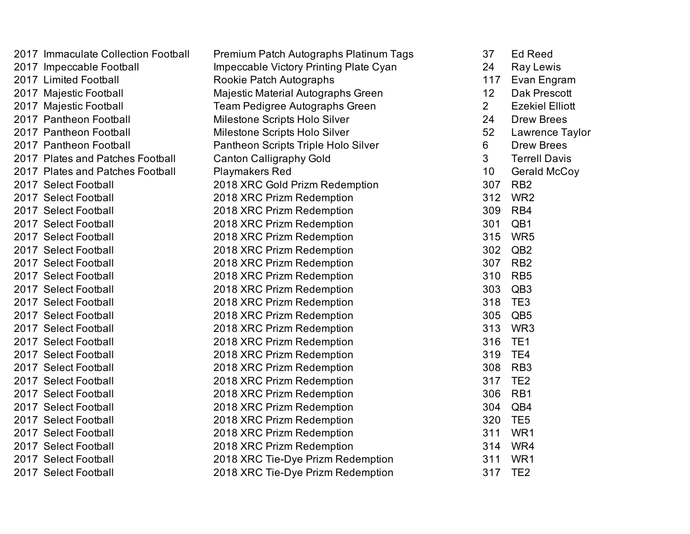| 2017 Immaculate Collection Football | Premium Patch Autographs Platinum Tags | 37             | <b>Ed Reed</b>         |
|-------------------------------------|----------------------------------------|----------------|------------------------|
| 2017 Impeccable Football            | Impeccable Victory Printing Plate Cyan | 24             | <b>Ray Lewis</b>       |
| 2017 Limited Football               | Rookie Patch Autographs                | 117            | Evan Engram            |
| 2017 Majestic Football              | Majestic Material Autographs Green     | 12             | <b>Dak Prescott</b>    |
| 2017 Majestic Football              | Team Pedigree Autographs Green         | $\overline{2}$ | <b>Ezekiel Elliott</b> |
| 2017 Pantheon Football              | Milestone Scripts Holo Silver          | 24             | <b>Drew Brees</b>      |
| 2017 Pantheon Football              | Milestone Scripts Holo Silver          | 52             | Lawrence Taylor        |
| 2017 Pantheon Football              | Pantheon Scripts Triple Holo Silver    | $6\phantom{1}$ | <b>Drew Brees</b>      |
| 2017 Plates and Patches Football    | <b>Canton Calligraphy Gold</b>         | $\overline{3}$ | <b>Terrell Davis</b>   |
| 2017 Plates and Patches Football    | <b>Playmakers Red</b>                  | 10             | Gerald McCoy           |
| 2017 Select Football                | 2018 XRC Gold Prizm Redemption         | 307            | RB <sub>2</sub>        |
| 2017 Select Football                | 2018 XRC Prizm Redemption              | 312            | WR <sub>2</sub>        |
| 2017 Select Football                | 2018 XRC Prizm Redemption              | 309            | RB4                    |
| 2017 Select Football                | 2018 XRC Prizm Redemption              | 301            | QB1                    |
| 2017 Select Football                | 2018 XRC Prizm Redemption              | 315            | WR <sub>5</sub>        |
| 2017 Select Football                | 2018 XRC Prizm Redemption              | 302            | QB <sub>2</sub>        |
| 2017 Select Football                | 2018 XRC Prizm Redemption              | 307            | RB <sub>2</sub>        |
| 2017 Select Football                | 2018 XRC Prizm Redemption              | 310            | RB <sub>5</sub>        |
| 2017 Select Football                | 2018 XRC Prizm Redemption              | 303            | QB <sub>3</sub>        |
| 2017 Select Football                | 2018 XRC Prizm Redemption              | 318            | TE <sub>3</sub>        |
| 2017 Select Football                | 2018 XRC Prizm Redemption              | 305            | QB <sub>5</sub>        |
| 2017 Select Football                | 2018 XRC Prizm Redemption              | 313            | WR3                    |
| 2017 Select Football                | 2018 XRC Prizm Redemption              | 316            | TE <sub>1</sub>        |
| 2017 Select Football                | 2018 XRC Prizm Redemption              | 319            | TE4                    |
| 2017 Select Football                | 2018 XRC Prizm Redemption              | 308            | RB <sub>3</sub>        |
| 2017 Select Football                | 2018 XRC Prizm Redemption              | 317            | TE <sub>2</sub>        |
| 2017 Select Football                | 2018 XRC Prizm Redemption              | 306            | RB1                    |
| 2017 Select Football                | 2018 XRC Prizm Redemption              | 304            | QB4                    |
| 2017 Select Football                | 2018 XRC Prizm Redemption              | 320            | TE <sub>5</sub>        |
| 2017 Select Football                | 2018 XRC Prizm Redemption              | 311            | WR1                    |
| 2017 Select Football                | 2018 XRC Prizm Redemption              | 314            | WR4                    |
| 2017 Select Football                | 2018 XRC Tie-Dye Prizm Redemption      | 311            | WR1                    |
| 2017 Select Football                | 2018 XRC Tie-Dye Prizm Redemption      | 317            | TE <sub>2</sub>        |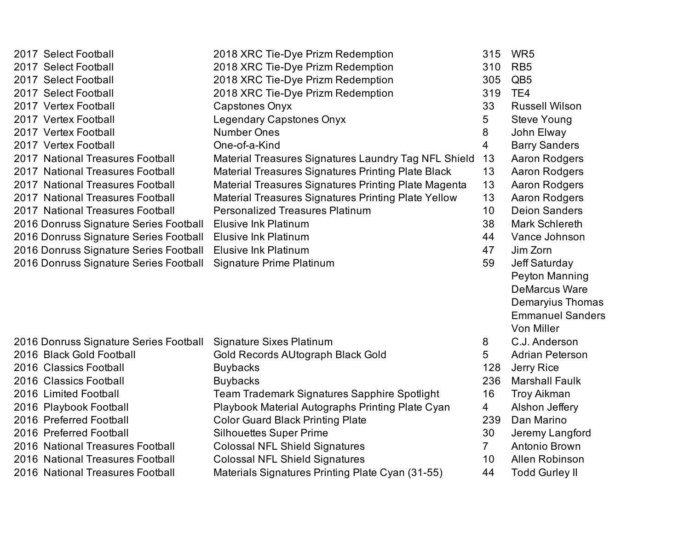| 2017 Select Football                   | 2018 XRC Tie-Dye Prizm Redemption                    | 315            | WR <sub>5</sub>         |
|----------------------------------------|------------------------------------------------------|----------------|-------------------------|
| 2017 Select Football                   | 2018 XRC Tie-Dye Prizm Redemption                    | 310            | RB <sub>5</sub>         |
| 2017 Select Football                   | 2018 XRC Tie-Dye Prizm Redemption                    | 305            | QB <sub>5</sub>         |
| 2017 Select Football                   | 2018 XRC Tie-Dye Prizm Redemption                    | 319            | TE4                     |
| 2017 Vertex Football                   | <b>Capstones Onyx</b>                                | 33             | <b>Russell Wilson</b>   |
| 2017 Vertex Football                   | Legendary Capstones Onyx                             | 5              | <b>Steve Young</b>      |
| 2017 Vertex Football                   | <b>Number Ones</b>                                   | 8              | John Elway              |
| 2017 Vertex Football                   | One-of-a-Kind                                        | $\overline{4}$ | <b>Barry Sanders</b>    |
| 2017 National Treasures Football       | Material Treasures Signatures Laundry Tag NFL Shield | 13             | Aaron Rodgers           |
| 2017 National Treasures Football       | Material Treasures Signatures Printing Plate Black   | 13             | Aaron Rodgers           |
| 2017 National Treasures Football       | Material Treasures Signatures Printing Plate Magenta | 13             | Aaron Rodgers           |
| 2017 National Treasures Football       | Material Treasures Signatures Printing Plate Yellow  | 13             | Aaron Rodgers           |
| 2017 National Treasures Football       | <b>Personalized Treasures Platinum</b>               | 10             | <b>Deion Sanders</b>    |
| 2016 Donruss Signature Series Football | <b>Elusive Ink Platinum</b>                          | 38             | <b>Mark Schlereth</b>   |
| 2016 Donruss Signature Series Football | <b>Elusive Ink Platinum</b>                          | 44             | Vance Johnson           |
| 2016 Donruss Signature Series Football | <b>Elusive Ink Platinum</b>                          | 47             | Jim Zorn                |
| 2016 Donruss Signature Series Football | <b>Signature Prime Platinum</b>                      | 59             | Jeff Saturday           |
|                                        |                                                      |                | Peyton Manning          |
|                                        |                                                      |                | <b>DeMarcus Ware</b>    |
|                                        |                                                      |                | Demaryius Thomas        |
|                                        |                                                      |                | <b>Emmanuel Sanders</b> |
|                                        |                                                      |                | Von Miller              |
| 2016 Donruss Signature Series Football | <b>Signature Sixes Platinum</b>                      | 8              | C.J. Anderson           |
| 2016 Black Gold Football               | Gold Records AUtograph Black Gold                    | 5              | <b>Adrian Peterson</b>  |
| 2016 Classics Football                 | <b>Buybacks</b>                                      | 128            | Jerry Rice              |
| 2016 Classics Football                 | <b>Buybacks</b>                                      | 236            | <b>Marshall Faulk</b>   |
| 2016 Limited Football                  | Team Trademark Signatures Sapphire Spotlight         | 16             | <b>Troy Aikman</b>      |
| 2016 Playbook Football                 | Playbook Material Autographs Printing Plate Cyan     | $\overline{4}$ | Alshon Jeffery          |
| 2016 Preferred Football                | <b>Color Guard Black Printing Plate</b>              | 239            | Dan Marino              |
| 2016 Preferred Football                | <b>Silhouettes Super Prime</b>                       | 30             | Jeremy Langford         |
| 2016 National Treasures Football       | <b>Colossal NFL Shield Signatures</b>                | 7 <sup>1</sup> | Antonio Brown           |
| 2016 National Treasures Football       | <b>Colossal NFL Shield Signatures</b>                | 10             | Allen Robinson          |
| 2016 National Treasures Football       | Materials Signatures Printing Plate Cyan (31-55)     | 44             | <b>Todd Gurley II</b>   |
|                                        |                                                      |                |                         |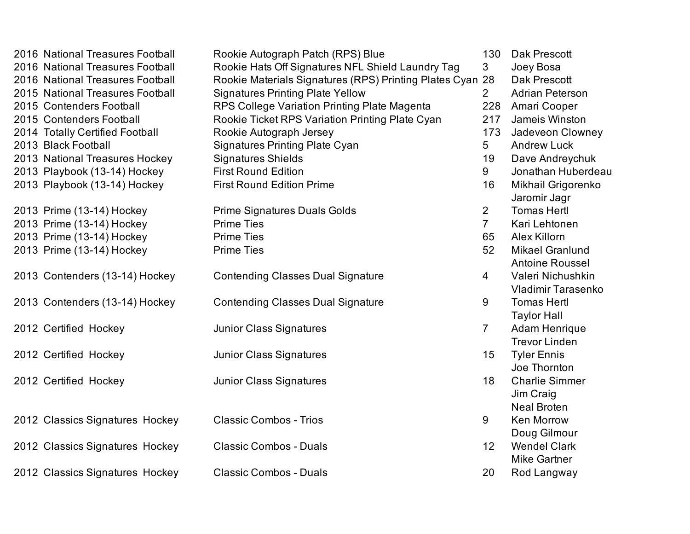| 2016 National Treasures Football | Rookie Autograph Patch (RPS) Blue                         | 130            | Dak Prescott              |
|----------------------------------|-----------------------------------------------------------|----------------|---------------------------|
| 2016 National Treasures Football | Rookie Hats Off Signatures NFL Shield Laundry Tag         | 3 <sup>1</sup> | Joey Bosa                 |
| 2016 National Treasures Football | Rookie Materials Signatures (RPS) Printing Plates Cyan 28 |                | Dak Prescott              |
| 2015 National Treasures Football | <b>Signatures Printing Plate Yellow</b>                   | $2^{\circ}$    | <b>Adrian Peterson</b>    |
| 2015 Contenders Football         | RPS College Variation Printing Plate Magenta              | 228            | Amari Cooper              |
| 2015 Contenders Football         | Rookie Ticket RPS Variation Printing Plate Cyan           | 217            | Jameis Winston            |
| 2014 Totally Certified Football  | Rookie Autograph Jersey                                   | 173            | Jadeveon Clowney          |
| 2013 Black Football              | <b>Signatures Printing Plate Cyan</b>                     | 5 <sup>5</sup> | <b>Andrew Luck</b>        |
| 2013 National Treasures Hockey   | <b>Signatures Shields</b>                                 | 19             | Dave Andreychuk           |
| 2013 Playbook (13-14) Hockey     | <b>First Round Edition</b>                                | 9              | Jonathan Huberdeau        |
| 2013 Playbook (13-14) Hockey     | <b>First Round Edition Prime</b>                          | 16             | Mikhail Grigorenko        |
|                                  |                                                           |                | Jaromir Jagr              |
| 2013 Prime (13-14) Hockey        | <b>Prime Signatures Duals Golds</b>                       | $\overline{2}$ | <b>Tomas Hertl</b>        |
| 2013 Prime (13-14) Hockey        | <b>Prime Ties</b>                                         | $\overline{7}$ | Kari Lehtonen             |
| 2013 Prime (13-14) Hockey        | <b>Prime Ties</b>                                         | 65             | Alex Killorn              |
| 2013 Prime (13-14) Hockey        | <b>Prime Ties</b>                                         | 52             | <b>Mikael Granlund</b>    |
|                                  |                                                           |                | Antoine Roussel           |
| 2013 Contenders (13-14) Hockey   | <b>Contending Classes Dual Signature</b>                  | $\overline{4}$ | Valeri Nichushkin         |
|                                  |                                                           |                | <b>Vladimir Tarasenko</b> |
| 2013 Contenders (13-14) Hockey   | <b>Contending Classes Dual Signature</b>                  | 9              | <b>Tomas Hertl</b>        |
|                                  |                                                           |                | <b>Taylor Hall</b>        |
| 2012 Certified Hockey            | <b>Junior Class Signatures</b>                            | $\overline{7}$ | Adam Henrique             |
|                                  |                                                           |                | <b>Trevor Linden</b>      |
| 2012 Certified Hockey            | <b>Junior Class Signatures</b>                            | 15             | <b>Tyler Ennis</b>        |
|                                  |                                                           |                | Joe Thornton              |
| 2012 Certified Hockey            | <b>Junior Class Signatures</b>                            | 18             | <b>Charlie Simmer</b>     |
|                                  |                                                           |                | Jim Craig                 |
|                                  |                                                           |                | <b>Neal Broten</b>        |
| 2012 Classics Signatures Hockey  | <b>Classic Combos - Trios</b>                             | 9              | Ken Morrow                |
|                                  |                                                           |                | Doug Gilmour              |
| 2012 Classics Signatures Hockey  | <b>Classic Combos - Duals</b>                             | 12             | <b>Wendel Clark</b>       |
|                                  |                                                           |                | <b>Mike Gartner</b>       |
| 2012 Classics Signatures Hockey  | <b>Classic Combos - Duals</b>                             | 20             | Rod Langway               |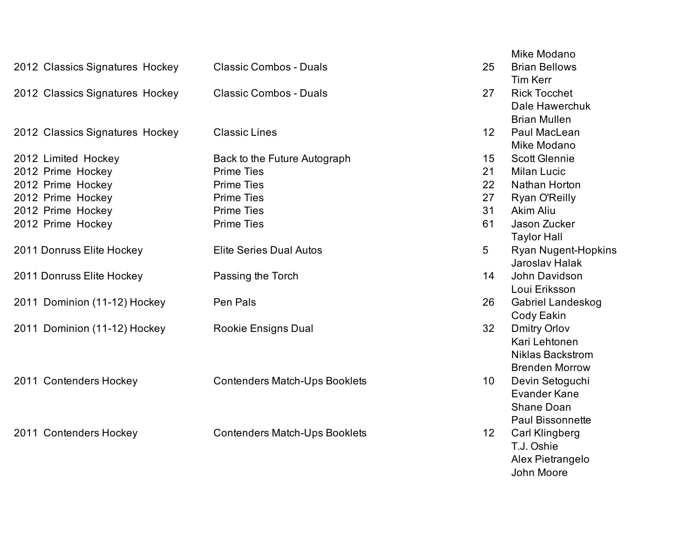|                                 |                                      |                 | Mike Modano                |
|---------------------------------|--------------------------------------|-----------------|----------------------------|
| 2012 Classics Signatures Hockey | <b>Classic Combos - Duals</b>        | 25              | <b>Brian Bellows</b>       |
|                                 |                                      |                 | <b>Tim Kerr</b>            |
| 2012 Classics Signatures Hockey | <b>Classic Combos - Duals</b>        | 27              | <b>Rick Tocchet</b>        |
|                                 |                                      |                 | Dale Hawerchuk             |
|                                 |                                      |                 | <b>Brian Mullen</b>        |
| 2012 Classics Signatures Hockey | <b>Classic Lines</b>                 | 12              | Paul MacLean               |
|                                 |                                      |                 | Mike Modano                |
| 2012 Limited Hockey             | Back to the Future Autograph         | 15              | <b>Scott Glennie</b>       |
| 2012 Prime Hockey               | <b>Prime Ties</b>                    | 21              | <b>Milan Lucic</b>         |
| 2012 Prime Hockey               | <b>Prime Ties</b>                    | 22              | Nathan Horton              |
| 2012 Prime Hockey               | <b>Prime Ties</b>                    | 27              | Ryan O'Reilly              |
| 2012 Prime Hockey               | <b>Prime Ties</b>                    | 31              | Akim Aliu                  |
| 2012 Prime Hockey               | <b>Prime Ties</b>                    | 61              | Jason Zucker               |
|                                 |                                      |                 | <b>Taylor Hall</b>         |
| 2011 Donruss Elite Hockey       | <b>Elite Series Dual Autos</b>       | 5               | <b>Ryan Nugent-Hopkins</b> |
|                                 |                                      |                 | <b>Jaroslav Halak</b>      |
| 2011 Donruss Elite Hockey       | Passing the Torch                    | 14              | John Davidson              |
|                                 |                                      |                 | Loui Eriksson              |
| 2011 Dominion (11-12) Hockey    | Pen Pals                             | 26              | Gabriel Landeskog          |
|                                 |                                      |                 | Cody Eakin                 |
| 2011 Dominion (11-12) Hockey    | <b>Rookie Ensigns Dual</b>           | 32              | <b>Dmitry Orlov</b>        |
|                                 |                                      |                 | Kari Lehtonen              |
|                                 |                                      |                 | <b>Niklas Backstrom</b>    |
|                                 |                                      |                 | <b>Brenden Morrow</b>      |
| 2011 Contenders Hockey          | <b>Contenders Match-Ups Booklets</b> | 10              | Devin Setoguchi            |
|                                 |                                      |                 | <b>Evander Kane</b>        |
|                                 |                                      |                 | <b>Shane Doan</b>          |
|                                 |                                      |                 | <b>Paul Bissonnette</b>    |
| 2011 Contenders Hockey          | <b>Contenders Match-Ups Booklets</b> | 12 <sub>2</sub> | <b>Carl Klingberg</b>      |
|                                 |                                      |                 | T.J. Oshie                 |
|                                 |                                      |                 | Alex Pietrangelo           |

John Moore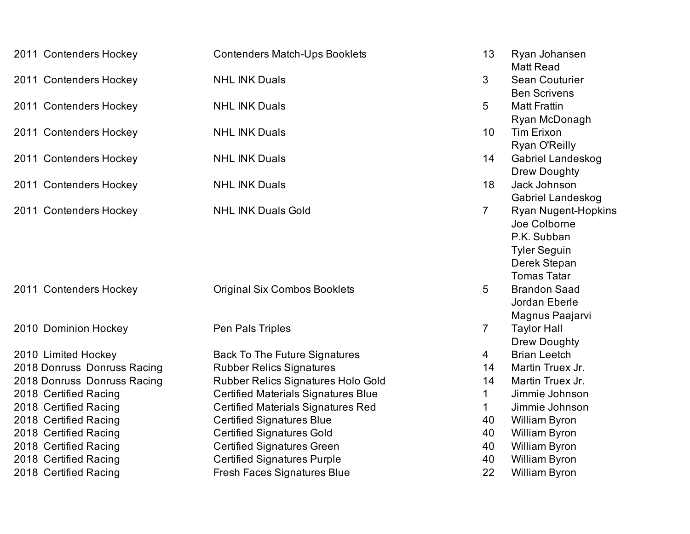| 2011 Contenders Hockey      | <b>Contenders Match-Ups Booklets</b>       | 13             | Ryan Johansen<br><b>Matt Read</b> |
|-----------------------------|--------------------------------------------|----------------|-----------------------------------|
| 2011 Contenders Hockey      | <b>NHL INK Duals</b>                       | 3              | Sean Couturier                    |
|                             |                                            |                | <b>Ben Scrivens</b>               |
| 2011 Contenders Hockey      | <b>NHL INK Duals</b>                       | 5              | <b>Matt Frattin</b>               |
|                             |                                            |                | Ryan McDonagh                     |
| 2011 Contenders Hockey      | <b>NHL INK Duals</b>                       | 10             | <b>Tim Erixon</b>                 |
|                             |                                            |                | Ryan O'Reilly                     |
| 2011 Contenders Hockey      | <b>NHL INK Duals</b>                       | 14             | <b>Gabriel Landeskog</b>          |
|                             |                                            |                | Drew Doughty                      |
| 2011 Contenders Hockey      | <b>NHL INK Duals</b>                       | 18             | Jack Johnson                      |
|                             |                                            |                | Gabriel Landeskog                 |
| 2011 Contenders Hockey      | <b>NHL INK Duals Gold</b>                  | $\overline{7}$ | <b>Ryan Nugent-Hopkins</b>        |
|                             |                                            |                | Joe Colborne                      |
|                             |                                            |                | P.K. Subban                       |
|                             |                                            |                | <b>Tyler Seguin</b>               |
|                             |                                            |                | Derek Stepan                      |
|                             |                                            |                | <b>Tomas Tatar</b>                |
| 2011 Contenders Hockey      | <b>Original Six Combos Booklets</b>        | 5              | <b>Brandon Saad</b>               |
|                             |                                            |                | Jordan Eberle                     |
|                             |                                            |                | Magnus Paajarvi                   |
| 2010 Dominion Hockey        | Pen Pals Triples                           | $\overline{7}$ | <b>Taylor Hall</b>                |
|                             |                                            |                | Drew Doughty                      |
| 2010 Limited Hockey         | <b>Back To The Future Signatures</b>       | 4              | <b>Brian Leetch</b>               |
| 2018 Donruss Donruss Racing | <b>Rubber Relics Signatures</b>            | 14             | Martin Truex Jr.                  |
| 2018 Donruss Donruss Racing | <b>Rubber Relics Signatures Holo Gold</b>  | 14             | Martin Truex Jr.                  |
| 2018 Certified Racing       | <b>Certified Materials Signatures Blue</b> | 1              | Jimmie Johnson                    |
| 2018 Certified Racing       | <b>Certified Materials Signatures Red</b>  | $\mathbf{1}$   | Jimmie Johnson                    |
| 2018 Certified Racing       | <b>Certified Signatures Blue</b>           | 40             | William Byron                     |
| 2018 Certified Racing       | <b>Certified Signatures Gold</b>           | 40             | William Byron                     |
| 2018 Certified Racing       | <b>Certified Signatures Green</b>          | 40             | William Byron                     |
| 2018 Certified Racing       | <b>Certified Signatures Purple</b>         | 40             | William Byron                     |
| 2018 Certified Racing       | <b>Fresh Faces Signatures Blue</b>         | 22             | William Byron                     |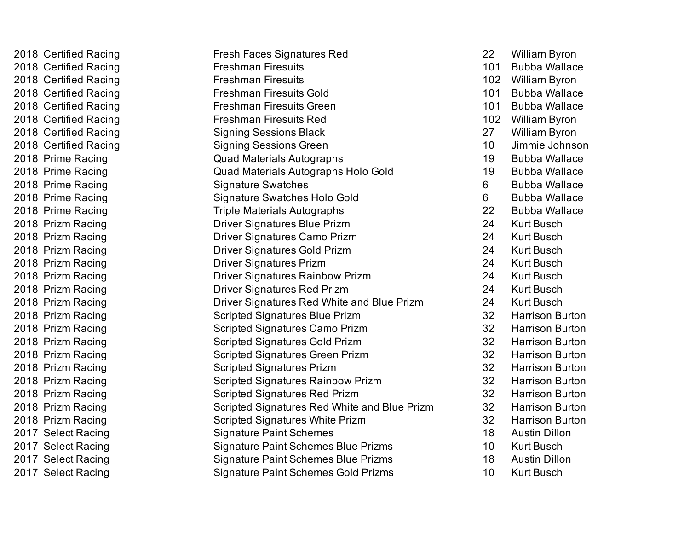| 2018 Certified Racing | <b>Fresh Faces Signatures Red</b>            | 22  | <b>William Byron</b>   |
|-----------------------|----------------------------------------------|-----|------------------------|
| 2018 Certified Racing | <b>Freshman Firesuits</b>                    | 101 | <b>Bubba Wallace</b>   |
| 2018 Certified Racing | <b>Freshman Firesuits</b>                    | 102 | <b>William Byron</b>   |
| 2018 Certified Racing | <b>Freshman Firesuits Gold</b>               | 101 | <b>Bubba Wallace</b>   |
| 2018 Certified Racing | Freshman Firesuits Green                     | 101 | <b>Bubba Wallace</b>   |
| 2018 Certified Racing | <b>Freshman Firesuits Red</b>                | 102 | <b>William Byron</b>   |
| 2018 Certified Racing | <b>Signing Sessions Black</b>                | 27  | <b>William Byron</b>   |
| 2018 Certified Racing | <b>Signing Sessions Green</b>                | 10  | Jimmie Johnson         |
| 2018 Prime Racing     | <b>Quad Materials Autographs</b>             | 19  | <b>Bubba Wallace</b>   |
| 2018 Prime Racing     | Quad Materials Autographs Holo Gold          | 19  | <b>Bubba Wallace</b>   |
| 2018 Prime Racing     | <b>Signature Swatches</b>                    | 6   | <b>Bubba Wallace</b>   |
| 2018 Prime Racing     | <b>Signature Swatches Holo Gold</b>          | 6   | <b>Bubba Wallace</b>   |
| 2018 Prime Racing     | <b>Triple Materials Autographs</b>           | 22  | <b>Bubba Wallace</b>   |
| 2018 Prizm Racing     | <b>Driver Signatures Blue Prizm</b>          | 24  | <b>Kurt Busch</b>      |
| 2018 Prizm Racing     | Driver Signatures Camo Prizm                 | 24  | <b>Kurt Busch</b>      |
| 2018 Prizm Racing     | <b>Driver Signatures Gold Prizm</b>          | 24  | <b>Kurt Busch</b>      |
| 2018 Prizm Racing     | <b>Driver Signatures Prizm</b>               | 24  | <b>Kurt Busch</b>      |
| 2018 Prizm Racing     | <b>Driver Signatures Rainbow Prizm</b>       | 24  | <b>Kurt Busch</b>      |
| 2018 Prizm Racing     | <b>Driver Signatures Red Prizm</b>           | 24  | <b>Kurt Busch</b>      |
| 2018 Prizm Racing     | Driver Signatures Red White and Blue Prizm   | 24  | <b>Kurt Busch</b>      |
| 2018 Prizm Racing     | <b>Scripted Signatures Blue Prizm</b>        | 32  | <b>Harrison Burton</b> |
| 2018 Prizm Racing     | <b>Scripted Signatures Camo Prizm</b>        | 32  | <b>Harrison Burton</b> |
| 2018 Prizm Racing     | <b>Scripted Signatures Gold Prizm</b>        | 32  | <b>Harrison Burton</b> |
| 2018 Prizm Racing     | <b>Scripted Signatures Green Prizm</b>       | 32  | <b>Harrison Burton</b> |
| 2018 Prizm Racing     | <b>Scripted Signatures Prizm</b>             | 32  | <b>Harrison Burton</b> |
| 2018 Prizm Racing     | <b>Scripted Signatures Rainbow Prizm</b>     | 32  | <b>Harrison Burton</b> |
| 2018 Prizm Racing     | <b>Scripted Signatures Red Prizm</b>         | 32  | <b>Harrison Burton</b> |
| 2018 Prizm Racing     | Scripted Signatures Red White and Blue Prizm | 32  | <b>Harrison Burton</b> |
| 2018 Prizm Racing     | <b>Scripted Signatures White Prizm</b>       | 32  | <b>Harrison Burton</b> |
| 2017 Select Racing    | <b>Signature Paint Schemes</b>               | 18  | <b>Austin Dillon</b>   |
| 2017 Select Racing    | <b>Signature Paint Schemes Blue Prizms</b>   | 10  | <b>Kurt Busch</b>      |
| 2017 Select Racing    | <b>Signature Paint Schemes Blue Prizms</b>   | 18  | <b>Austin Dillon</b>   |
| 2017 Select Racing    | <b>Signature Paint Schemes Gold Prizms</b>   | 10  | <b>Kurt Busch</b>      |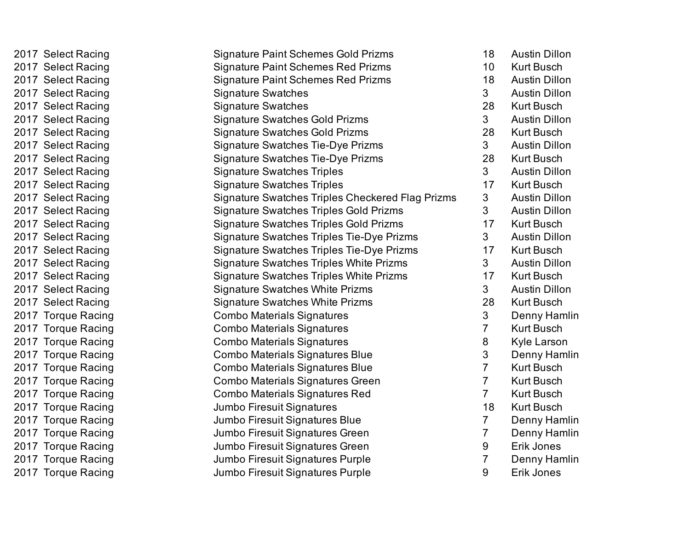| 2017 Select Racing | <b>Signature Paint Schemes Gold Prizms</b>       | 18              | <b>Austin Dillon</b> |
|--------------------|--------------------------------------------------|-----------------|----------------------|
| 2017 Select Racing | <b>Signature Paint Schemes Red Prizms</b>        | 10 <sup>°</sup> | <b>Kurt Busch</b>    |
| 2017 Select Racing | <b>Signature Paint Schemes Red Prizms</b>        | 18              | <b>Austin Dillon</b> |
| 2017 Select Racing | <b>Signature Swatches</b>                        | 3               | <b>Austin Dillon</b> |
| 2017 Select Racing | <b>Signature Swatches</b>                        | 28              | <b>Kurt Busch</b>    |
| 2017 Select Racing | <b>Signature Swatches Gold Prizms</b>            | 3 <sup>1</sup>  | <b>Austin Dillon</b> |
| 2017 Select Racing | <b>Signature Swatches Gold Prizms</b>            | 28              | <b>Kurt Busch</b>    |
| 2017 Select Racing | <b>Signature Swatches Tie-Dye Prizms</b>         | $\mathbf{3}$    | <b>Austin Dillon</b> |
| 2017 Select Racing | <b>Signature Swatches Tie-Dye Prizms</b>         | 28              | <b>Kurt Busch</b>    |
| 2017 Select Racing | <b>Signature Swatches Triples</b>                | 3 <sup>1</sup>  | <b>Austin Dillon</b> |
| 2017 Select Racing | <b>Signature Swatches Triples</b>                | 17              | <b>Kurt Busch</b>    |
| 2017 Select Racing | Signature Swatches Triples Checkered Flag Prizms | 3               | <b>Austin Dillon</b> |
| 2017 Select Racing | <b>Signature Swatches Triples Gold Prizms</b>    | 3               | <b>Austin Dillon</b> |
| 2017 Select Racing | <b>Signature Swatches Triples Gold Prizms</b>    | 17              | <b>Kurt Busch</b>    |
| 2017 Select Racing | <b>Signature Swatches Triples Tie-Dye Prizms</b> | 3               | <b>Austin Dillon</b> |
| 2017 Select Racing | <b>Signature Swatches Triples Tie-Dye Prizms</b> | 17              | <b>Kurt Busch</b>    |
| 2017 Select Racing | <b>Signature Swatches Triples White Prizms</b>   | 3 <sup>1</sup>  | <b>Austin Dillon</b> |
| 2017 Select Racing | Signature Swatches Triples White Prizms          | 17              | <b>Kurt Busch</b>    |
| 2017 Select Racing | <b>Signature Swatches White Prizms</b>           | $3\phantom{.}$  | <b>Austin Dillon</b> |
| 2017 Select Racing | <b>Signature Swatches White Prizms</b>           | 28              | <b>Kurt Busch</b>    |
| 2017 Torque Racing | <b>Combo Materials Signatures</b>                | 3               | Denny Hamlin         |
| 2017 Torque Racing | Combo Materials Signatures                       | 7               | Kurt Busch           |
| 2017 Torque Racing | <b>Combo Materials Signatures</b>                | 8               | Kyle Larson          |
| 2017 Torque Racing | <b>Combo Materials Signatures Blue</b>           | 3               | Denny Hamlin         |
| 2017 Torque Racing | <b>Combo Materials Signatures Blue</b>           | $\overline{7}$  | Kurt Busch           |
| 2017 Torque Racing | <b>Combo Materials Signatures Green</b>          | 7               | <b>Kurt Busch</b>    |
| 2017 Torque Racing | Combo Materials Signatures Red                   | $\overline{7}$  | <b>Kurt Busch</b>    |
| 2017 Torque Racing | Jumbo Firesuit Signatures                        | 18              | <b>Kurt Busch</b>    |
| 2017 Torque Racing | Jumbo Firesuit Signatures Blue                   | $\overline{7}$  | Denny Hamlin         |
| 2017 Torque Racing | Jumbo Firesuit Signatures Green                  | 7               | Denny Hamlin         |
| 2017 Torque Racing | Jumbo Firesuit Signatures Green                  | $9\,$           | Erik Jones           |
| 2017 Torque Racing | Jumbo Firesuit Signatures Purple                 | 7               | Denny Hamlin         |
| 2017 Torque Racing | Jumbo Firesuit Signatures Purple                 | 9               | Erik Jones           |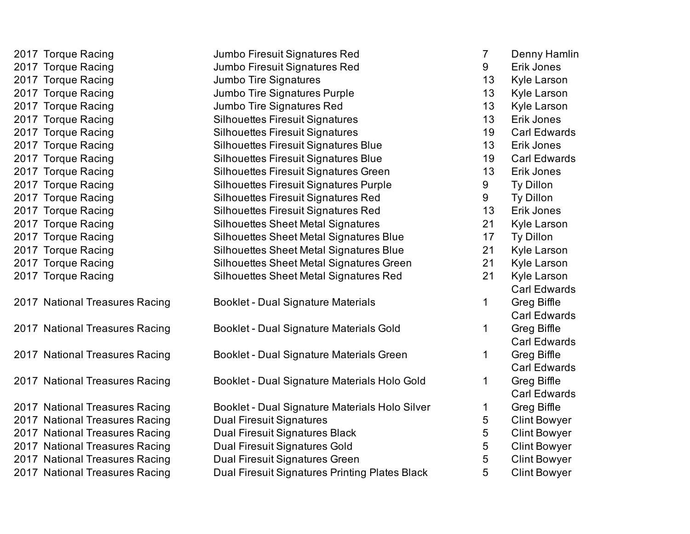| 2017 Torque Racing             | Jumbo Firesuit Signatures Red                  | $\mathbf{7}$ | Denny Hamlin        |
|--------------------------------|------------------------------------------------|--------------|---------------------|
| 2017 Torque Racing             | Jumbo Firesuit Signatures Red                  | 9            | Erik Jones          |
| 2017 Torque Racing             | Jumbo Tire Signatures                          | 13           | Kyle Larson         |
| 2017 Torque Racing             | Jumbo Tire Signatures Purple                   | 13           | Kyle Larson         |
| 2017 Torque Racing             | Jumbo Tire Signatures Red                      | 13           | Kyle Larson         |
| 2017 Torque Racing             | <b>Silhouettes Firesuit Signatures</b>         | 13           | Erik Jones          |
| 2017 Torque Racing             | <b>Silhouettes Firesuit Signatures</b>         | 19           | <b>Carl Edwards</b> |
| 2017 Torque Racing             | <b>Silhouettes Firesuit Signatures Blue</b>    | 13           | Erik Jones          |
| 2017 Torque Racing             | <b>Silhouettes Firesuit Signatures Blue</b>    | 19           | <b>Carl Edwards</b> |
| 2017 Torque Racing             | Silhouettes Firesuit Signatures Green          | 13           | Erik Jones          |
| 2017 Torque Racing             | <b>Silhouettes Firesuit Signatures Purple</b>  | 9            | Ty Dillon           |
| 2017 Torque Racing             | <b>Silhouettes Firesuit Signatures Red</b>     | $9\,$        | Ty Dillon           |
| 2017 Torque Racing             | <b>Silhouettes Firesuit Signatures Red</b>     | 13           | Erik Jones          |
| 2017 Torque Racing             | <b>Silhouettes Sheet Metal Signatures</b>      | 21           | <b>Kyle Larson</b>  |
| 2017 Torque Racing             | Silhouettes Sheet Metal Signatures Blue        | 17           | Ty Dillon           |
| 2017 Torque Racing             | Silhouettes Sheet Metal Signatures Blue        | 21           | Kyle Larson         |
| 2017 Torque Racing             | Silhouettes Sheet Metal Signatures Green       | 21           | Kyle Larson         |
| 2017 Torque Racing             | Silhouettes Sheet Metal Signatures Red         | 21           | Kyle Larson         |
|                                |                                                |              | <b>Carl Edwards</b> |
| 2017 National Treasures Racing | <b>Booklet - Dual Signature Materials</b>      | 1            | Greg Biffle         |
|                                |                                                |              | <b>Carl Edwards</b> |
| 2017 National Treasures Racing | Booklet - Dual Signature Materials Gold        | 1            | Greg Biffle         |
|                                |                                                |              | <b>Carl Edwards</b> |
| 2017 National Treasures Racing | Booklet - Dual Signature Materials Green       | 1            | Greg Biffle         |
|                                |                                                |              | <b>Carl Edwards</b> |
| 2017 National Treasures Racing | Booklet - Dual Signature Materials Holo Gold   | 1            | Greg Biffle         |
|                                |                                                |              | <b>Carl Edwards</b> |
| 2017 National Treasures Racing | Booklet - Dual Signature Materials Holo Silver | 1            | Greg Biffle         |
| 2017 National Treasures Racing | <b>Dual Firesuit Signatures</b>                | 5            | <b>Clint Bowyer</b> |
| 2017 National Treasures Racing | Dual Firesuit Signatures Black                 | 5            | <b>Clint Bowyer</b> |
| 2017 National Treasures Racing | <b>Dual Firesuit Signatures Gold</b>           | 5            | <b>Clint Bowyer</b> |
| 2017 National Treasures Racing | Dual Firesuit Signatures Green                 | 5            | <b>Clint Bowyer</b> |
| 2017 National Treasures Racing | Dual Firesuit Signatures Printing Plates Black | 5            | <b>Clint Bowyer</b> |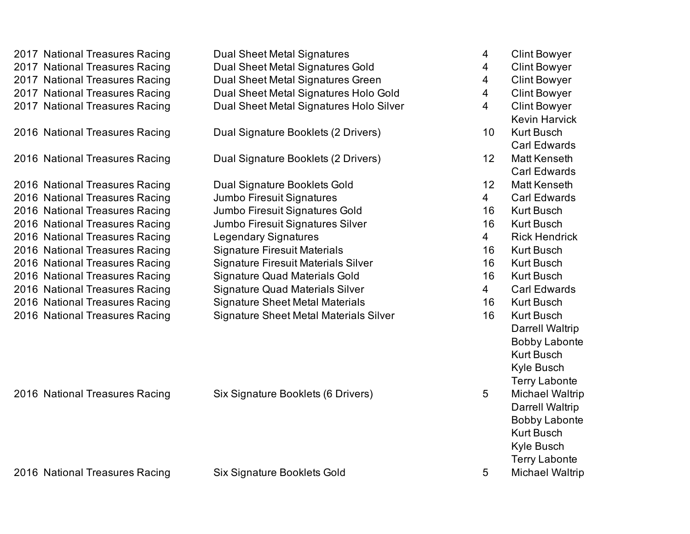| 2017 National Treasures Racing | <b>Dual Sheet Metal Signatures</b>            | 4              | <b>Clint Bowyer</b>    |
|--------------------------------|-----------------------------------------------|----------------|------------------------|
| 2017 National Treasures Racing | <b>Dual Sheet Metal Signatures Gold</b>       | 4              | <b>Clint Bowyer</b>    |
| 2017 National Treasures Racing | Dual Sheet Metal Signatures Green             | 4              | <b>Clint Bowyer</b>    |
| 2017 National Treasures Racing | Dual Sheet Metal Signatures Holo Gold         | $\overline{4}$ | <b>Clint Bowyer</b>    |
| 2017 National Treasures Racing | Dual Sheet Metal Signatures Holo Silver       | $\overline{4}$ | <b>Clint Bowyer</b>    |
|                                |                                               |                | <b>Kevin Harvick</b>   |
| 2016 National Treasures Racing | Dual Signature Booklets (2 Drivers)           | 10             | <b>Kurt Busch</b>      |
|                                |                                               |                | <b>Carl Edwards</b>    |
| 2016 National Treasures Racing | Dual Signature Booklets (2 Drivers)           | 12             | Matt Kenseth           |
|                                |                                               |                | <b>Carl Edwards</b>    |
| 2016 National Treasures Racing | Dual Signature Booklets Gold                  | 12             | Matt Kenseth           |
| 2016 National Treasures Racing | Jumbo Firesuit Signatures                     | $\overline{4}$ | <b>Carl Edwards</b>    |
| 2016 National Treasures Racing | Jumbo Firesuit Signatures Gold                | 16             | <b>Kurt Busch</b>      |
| 2016 National Treasures Racing | Jumbo Firesuit Signatures Silver              | 16             | <b>Kurt Busch</b>      |
| 2016 National Treasures Racing | <b>Legendary Signatures</b>                   | $\overline{4}$ | <b>Rick Hendrick</b>   |
| 2016 National Treasures Racing | <b>Signature Firesuit Materials</b>           | 16             | <b>Kurt Busch</b>      |
| 2016 National Treasures Racing | <b>Signature Firesuit Materials Silver</b>    | 16             | <b>Kurt Busch</b>      |
| 2016 National Treasures Racing | <b>Signature Quad Materials Gold</b>          | 16             | <b>Kurt Busch</b>      |
| 2016 National Treasures Racing | <b>Signature Quad Materials Silver</b>        | $\overline{4}$ | <b>Carl Edwards</b>    |
| 2016 National Treasures Racing | <b>Signature Sheet Metal Materials</b>        | 16             | <b>Kurt Busch</b>      |
| 2016 National Treasures Racing | <b>Signature Sheet Metal Materials Silver</b> | 16             | <b>Kurt Busch</b>      |
|                                |                                               |                | <b>Darrell Waltrip</b> |
|                                |                                               |                | <b>Bobby Labonte</b>   |
|                                |                                               |                | <b>Kurt Busch</b>      |
|                                |                                               |                | Kyle Busch             |
|                                |                                               |                | <b>Terry Labonte</b>   |
| 2016 National Treasures Racing | Six Signature Booklets (6 Drivers)            | 5              | <b>Michael Waltrip</b> |
|                                |                                               |                | <b>Darrell Waltrip</b> |
|                                |                                               |                | <b>Bobby Labonte</b>   |
|                                |                                               |                | <b>Kurt Busch</b>      |
|                                |                                               |                | Kyle Busch             |
|                                |                                               |                | <b>Terry Labonte</b>   |
| 2016 National Treasures Racing | Six Signature Booklets Gold                   | 5              | <b>Michael Waltrip</b> |
|                                |                                               |                |                        |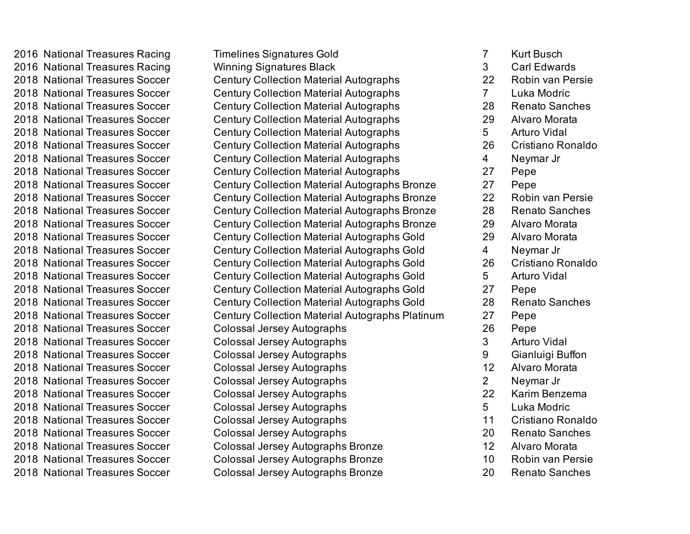2016 National Treasures Racing Timelines Signatures Gold 7 Kurt Busch 2016 National Treasures Racing The Winning Signatures Black The State Carl Edwards 2018 National Treasures Soccer Century Collection Material Autographs 22 Robin van Persie 2018 National Treasures Soccer Century Collection Material Autographs 7 Luka Modric 2018 National Treasures Soccer Century Collection Material Autographs 28 Renato Sanches 2018 National Treasures Soccer Century Collection Material Autographs 29 Alvaro Morata 2018 National Treasures Soccer Century Collection Material Autographs 5 Arturo Vidal 2018 National Treasures Soccer Century Collection Material Autographs 26 Cristiano Ronaldo 2018 National Treasures Soccer Century Collection Material Autographs 4 Neymar Jr 2018 National Treasures Soccer Century Collection Material Autographs 27 Pepe 2018 National Treasures Soccer Century Collection Material Autographs Bronze 27 Pepe 2018 National Treasures Soccer Century Collection Material Autographs Bronze 22 Robin van Persie 2018 National Treasures Soccer Century Collection Material Autographs Bronze 28 Renato Sanches 2018 National Treasures Soccer Century Collection Material Autographs Bronze 29 Alvaro Morata 2018 National Treasures Soccer Century Collection Material Autographs Gold 29 Alvaro Morata 2018 National Treasures Soccer Century Collection Material Autographs Gold 4 Neymar Jr 2018 National Treasures Soccer Century Collection Material Autographs Gold 26 Cristiano Ronaldo 2018 National Treasures Soccer Century Collection Material Autographs Gold 5 Arturo Vidal 2018 National Treasures Soccer Century Collection Material Autographs Gold 27 Pepe 2018 National Treasures Soccer Century Collection Material Autographs Gold 28 Renato Sanches 2018 National Treasures Soccer Century Collection Material Autographs Platinum 27 Pepe 2018 National Treasures Soccer Colossal Jersey Autographs 26 Pepe 2018 National Treasures Soccer Colossal Jersey Autographs 3 Arturo Vidal 2018 National Treasures Soccer Colossal Jersey Autographs 9 Gianluigi Buffon 2018 National Treasures Soccer Colossal Jersey Autographs 12 Alvaro Morata 2018 National Treasures Soccer Colossal Jersey Autographs 2 Neymar Jr 2018 National Treasures Soccer Colossal Jersey Autographs 22 Karim Benzema 2018 National Treasures Soccer Colossal Jersey Autographs 5 Luka Modric 2018 National Treasures Soccer Colossal Jersey Autographs 11 Cristiano Ronaldo 2018 National Treasures Soccer Colossal Jersey Autographs 20 Renato Sanches 2018 National Treasures Soccer Colossal Jersey Autographs Bronze 12 Alvaro Morata 2018 National Treasures Soccer Colossal Jersey Autographs Bronze 10 Robin van Persie 2018 National Treasures Soccer Colossal Jersey Autographs Bronze 20 Renato Sanches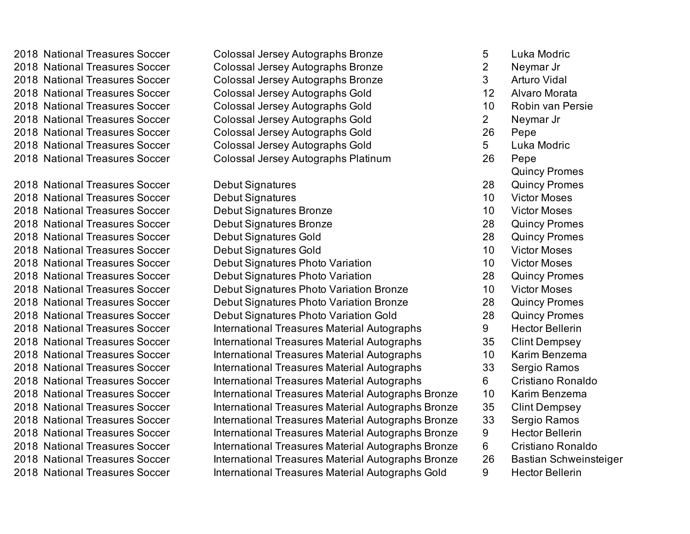2018 National Treasures Soccer Colossal Jersey Autographs Gold 2018 National Treasures Soccer Colossal Jersey Autographs Gold 2018 National Treasures Soccer Colossal Jersey Autographs Gold 2018 National Treasures Soccer Colossal Jersey Autographs Gold 2018 National Treasures Soccer Colossal Jersey Autographs Gold

2018 National Treasures Soccer Debut Signatures 2018 National Treasures Soccer Debut Signatures Bronze 2018 National Treasures Soccer Debut Signatures Bronze 2018 National Treasures Soccer Debut Signatures Gold 2018 National Treasures Soccer Debut Signatures Gold 2018 National Treasures Soccer Debut Signatures

2018 National Treasures Soccer Colossal Jersey Autographs Bronze 2018 National Treasures Soccer Colossal Jersey Autographs Bronze 2018 National Treasures Soccer Colossal Jersey Autographs Bronze 2018 National Treasures Soccer Colossal Jersey Autographs Platinum

2018 National Treasures Soccer Debut Signatures Photo Variation 2018 National Treasures Soccer Debut Signatures Photo Variation 2018 National Treasures Soccer Debut Signatures Photo Variation Bronze 2018 National Treasures Soccer Debut Signatures Photo Variation Bronze 2018 National Treasures Soccer Debut Signatures Photo Variation Gold 2018 National Treasures Soccer International Treasures Material Autographs 2018 National Treasures Soccer International Treasures Material Autographs 2018 National Treasures Soccer International Treasures Material Autographs 2018 National Treasures Soccer International Treasures Material Autographs 2018 National Treasures Soccer International Treasures Material Autographs 2018 National Treasures Soccer International Treasures Material Autographs Bronze 2018 National Treasures Soccer International Treasures Material Autographs Bronze 2018 National Treasures Soccer International Treasures Material Autographs Bronze 2018 National Treasures Soccer International Treasures Material Autographs Bronze 2018 National Treasures Soccer International Treasures Material Autographs Bronze 2018 National Treasures Soccer International Treasures Material Autographs Bronze 26 Bastian Schweinsteiger 2018 National Treasures Soccer International Treasures Material Autographs Gold

| 5              | Luka Modric             |
|----------------|-------------------------|
| $\overline{c}$ | Neymar Jr               |
| 3              | <b>Arturo Vidal</b>     |
| 12             | Alvaro Morata           |
| 10             | <b>Robin van Persie</b> |
| $\overline{c}$ | Neymar Jr               |
| 26             | Pepe                    |
| 5              | Luka Modric             |
| 26             | Pepe                    |
|                | <b>Quincy Promes</b>    |
| 28             | <b>Quincy Promes</b>    |
| 10             | <b>Victor Moses</b>     |
| 10             | <b>Victor Moses</b>     |
| 28             | <b>Quincy Promes</b>    |
| 28             | <b>Quincy Promes</b>    |
| 10             | <b>Victor Moses</b>     |
| 10             | <b>Victor Moses</b>     |
| 28             | <b>Quincy Promes</b>    |
| 10             | <b>Victor Moses</b>     |
| 28             | <b>Quincy Promes</b>    |
| 28             | <b>Quincy Promes</b>    |
| 9              | <b>Hector Bellerin</b>  |
| 35             | <b>Clint Dempsey</b>    |
| 10             | Karim Benzema           |
| 33             | Sergio Ramos            |
| 6              | Cristiano Ronaldo       |
| 10             | Karim Benzema           |
| 35             | <b>Clint Dempsey</b>    |
| 33             | Sergio Ramos            |
| 9              | <b>Hector Bellerin</b>  |
| 6              | Cristiano Ronaldo       |
| 26             | Bastian Schweinsteig    |
| 9              | <b>Hector Bellerin</b>  |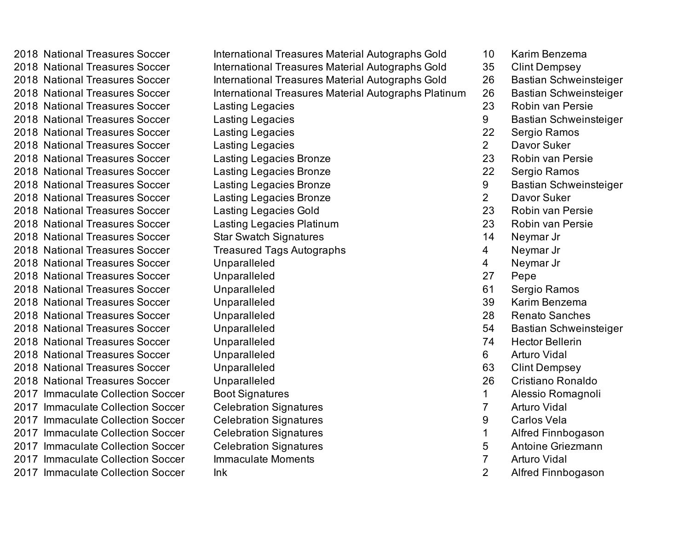2018 National Treasures Soccer International Treasures Material Autographs Gold 10 Karim Benzema 2018 National Treasures Soccer **International Treasures Material Autographs Gold** 35 Clint Dempsey 2018 National Treasures Soccer **International Treasures Material Autographs Gold** 26 Bastian Schweinsteiger 2018 National Treasures Soccer **International Treasures Material Autographs Platinum** 26 Bastian Schweinsteiger 2018 National Treasures Soccer Lasting Legacies 23 Robin van Persie 2018 National Treasures Soccer Lasting Legacies 9 Bastian Schweinsteiger 2018 National Treasures Soccer Lasting Legacies 22 Sergio Ramos 2018 National Treasures Soccer Lasting Legacies 2 Davor Suker 2018 National Treasures Soccer Lasting Legacies Bronze 23 Robin van Persie 2018 National Treasures Soccer Lasting Legacies Bronze 22 Sergio Ramos 2018 National Treasures Soccer Lasting Legacies Bronze **Community 19** Bastian Schweinsteiger 2018 National Treasures Soccer Lasting Legacies Bronze 2 Davor Suker 2018 National Treasures Soccer Lasting Legacies Gold 23 Robin van Persie 2018 National Treasures Soccer Lasting Legacies Platinum 23 Robin van Persie 2018 National Treasures Soccer Star Swatch Signatures 14 Neymar Jr 2018 National Treasures Soccer Treasured Tags Autographs **4 Australian Automat Australian** Australian Australian 2018 National Treasures Soccer Unparalleled 4 Neymar Jr 2018 National Treasures Soccer Unparalleled 27 Pepe 2018 National Treasures Soccer Unparalleled 61 Sergio Ramos 2018 National Treasures Soccer Unparalleled 39 Karim Benzema 2018 National Treasures Soccer Unparalleled 28 Renato Sanches 2018 National Treasures Soccer Chiperalleled 54 Bastian Schweinsteiger 2018 National Treasures Soccer Unparalleled 74 Hector Bellerin 2018 National Treasures Soccer Unparalleled 6 Arturo Vidal 2018 National Treasures Soccer and Unparalleled 63 Clint Dempsey 2018 National Treasures Soccer Unparalleled 26 Cristiano Ronaldo 2017 Immaculate Collection Soccer Boot Signatures 2017 1 Alessio Romagnoli 2017 Immaculate Collection Soccer Celebration Signatures **7** Arturo Vidal 2017 Immaculate Collection Soccer Celebration Signatures **19 Carlos Vela** 2017 Immaculate Collection Soccer Celebration Signatures 1 and 1 alfred Finnbogason 2017 Immaculate Collection Soccer Celebration Signatures 5 Antoine Griezmann 2017 Immaculate Collection Soccer Immaculate Moments 7 Arturo Vidal 2017 Immaculate Collection Soccer Ink 1999 and 2 Alfred Finnbogason

- 
- 
- 
- 
- 
- 
- 
- 
- 
- 
- 
- 
- 
- 
- 
- 
- 
- 
- 
- 
- 
- 
- 
- 
- 
- 
- 
- 
- 
- 
- 
- 
-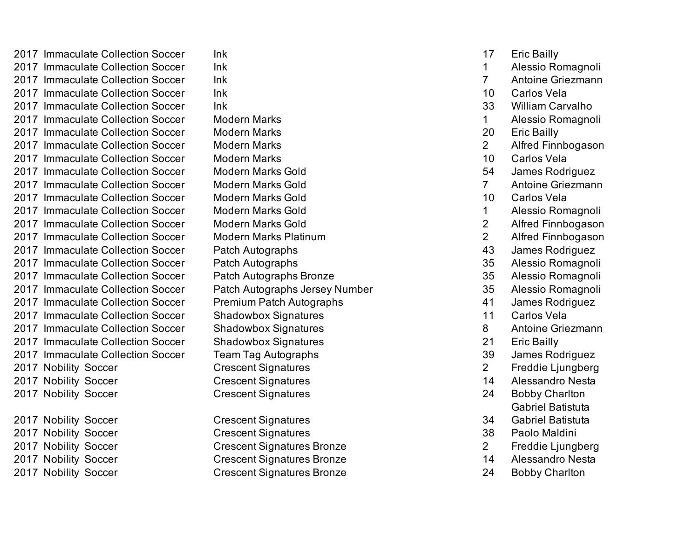2017 Immaculate Collection Soccer Ink 17 Eric Bailly 2017 Immaculate Collection Soccer Ink 1 Alessio Romagnoli 2017 Immaculate Collection Soccer Ink 7 Antoine Griezmann 2017 Immaculate Collection Soccer Ink 10 Carlos Vela 2017 Immaculate Collection Soccer Ink 33 William Carvalho 2017 Immaculate Collection Soccer Modern Marks 1 Alessio Romagnoli 2017 Immaculate Collection Soccer Modern Marks 20 Eric Bailly 2017 Immaculate Collection Soccer Modern Marks 2 Alfred Finnbogason 2017 Immaculate Collection Soccer Modern Marks 10 Carlos Vela 2017 Immaculate Collection Soccer Modern Marks Gold 54 James Rodriguez 2017 Immaculate Collection Soccer Modern Marks Gold 7 Antoine Griezmann 2017 Immaculate Collection Soccer Modern Marks Gold 10 Carlos Vela 2017 Immaculate Collection Soccer Modern Marks Gold 1 Alessio Romagnoli 2017 Immaculate Collection Soccer Modern Marks Gold 2 Alfred Finnbogason 2017 Immaculate Collection Soccer Modern Marks Platinum 2 Alfred Finnbogason 2017 Immaculate Collection Soccer Patch Autographs 43 James Rodriguez 2017 Immaculate Collection Soccer Patch Autographs 35 Alessio Romagnoli 2017 Immaculate Collection Soccer Patch Autographs Bronze 35 Alessio Romagnoli 2017 Immaculate Collection Soccer Patch Autographs Jersey Number 35 Alessio Romagnoli 2017 Immaculate Collection Soccer Premium Patch Autographs 41 James Rodriguez 2017 Immaculate Collection Soccer Shadowbox Signatures 11 Carlos Vela 2017 Immaculate Collection Soccer Shadowbox Signatures 6 and 18 Antoine Griezmann 2017 Immaculate Collection Soccer Shadowbox Signatures 2017 100 21 Eric Bailly 2017 Immaculate Collection Soccer Team Tag Autographs 39 James Rodriguez 2017 Nobility Soccer Crescent Signatures 2 Freddie Ljungberg 2017 Nobility Soccer Crescent Signatures 14 Alessandro Nesta 2017 Nobility Soccer Crescent Signatures 24 Bobby Charlton 2017 Nobility Soccer Crescent Signatures 34

2017 Nobility Soccer Crescent Signatures 38 Paolo Maldini 2017 Nobility Soccer Crescent Signatures Bronze 2 Freddie Ljungberg 2017 Nobility Soccer Crescent Signatures Bronze 14 Alessandro Nesta 2017 Nobility Soccer Crescent Signatures Bronze 24 Bobby Charlton

- 
- 

- 
- 
- 
- 
- 
- 
- 
- 
- 
- 
- 
- 
- 
- 
- 
- 
- 
- 
- 
- 
- 
- 
- Gabriel Batistuta
- Gabriel Batistuta
- 
- 
- 
-